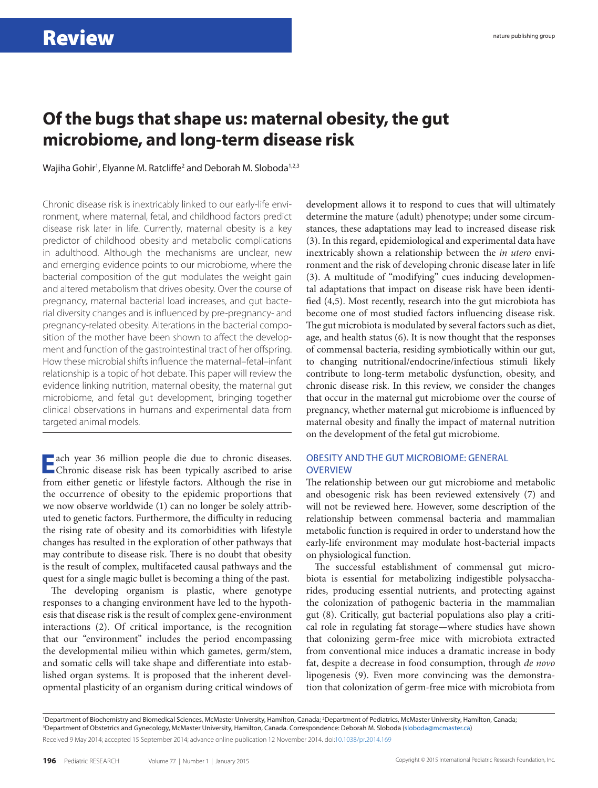## **Of the bugs that shape us: maternal obesity, the gut microbiome, and long-term disease risk**

Wajiha Gohir<sup>1</sup>, Elyanne M. Ratcliffe<sup>2</sup> and Deborah M. Sloboda<sup>1,2,3</sup>

Chronic disease risk is inextricably linked to our early-life environment, where maternal, fetal, and childhood factors predict disease risk later in life. Currently, maternal obesity is a key predictor of childhood obesity and metabolic complications in adulthood. Although the mechanisms are unclear, new and emerging evidence points to our microbiome, where the bacterial composition of the gut modulates the weight gain and altered metabolism that drives obesity. Over the course of pregnancy, maternal bacterial load increases, and gut bacterial diversity changes and is influenced by pre-pregnancy- and pregnancy-related obesity. Alterations in the bacterial composition of the mother have been shown to affect the development and function of the gastrointestinal tract of her offspring. How these microbial shifts influence the maternal–fetal–infant relationship is a topic of hot debate. This paper will review the evidence linking nutrition, maternal obesity, the maternal gut microbiome, and fetal gut development, bringing together clinical observations in humans and experimental data from targeted animal models.

**E**ach year 36 million people die due to chronic diseases. Chronic disease risk has been typically ascribed to arise from either genetic or lifestyle factors. Although the rise in the occurrence of obesity to the epidemic proportions that we now observe worldwide (1) can no longer be solely attributed to genetic factors. Furthermore, the difficulty in reducing the rising rate of obesity and its comorbidities with lifestyle changes has resulted in the exploration of other pathways that may contribute to disease risk. There is no doubt that obesity is the result of complex, multifaceted causal pathways and the quest for a single magic bullet is becoming a thing of the past.

The developing organism is plastic, where genotype responses to a changing environment have led to the hypothesis that disease risk is the result of complex gene-environment interactions (2). Of critical importance, is the recognition that our "environment" includes the period encompassing the developmental milieu within which gametes, germ/stem, and somatic cells will take shape and differentiate into established organ systems. It is proposed that the inherent developmental plasticity of an organism during critical windows of development allows it to respond to cues that will ultimately determine the mature (adult) phenotype; under some circumstances, these adaptations may lead to increased disease risk (3). In this regard, epidemiological and experimental data have inextricably shown a relationship between the *in utero* environment and the risk of developing chronic disease later in life (3). A multitude of "modifying" cues inducing developmental adaptations that impact on disease risk have been identified (4,5). Most recently, research into the gut microbiota has become one of most studied factors influencing disease risk. The gut microbiota is modulated by several factors such as diet, age, and health status (6). It is now thought that the responses of commensal bacteria, residing symbiotically within our gut, to changing nutritional/endocrine/infectious stimuli likely contribute to long-term metabolic dysfunction, obesity, and chronic disease risk. In this review, we consider the changes that occur in the maternal gut microbiome over the course of pregnancy, whether maternal gut microbiome is influenced by maternal obesity and finally the impact of maternal nutrition on the development of the fetal gut microbiome.

### OBESITY AND THE GUT MICROBIOME: GENERAL **OVERVIEW**

The relationship between our gut microbiome and metabolic and obesogenic risk has been reviewed extensively (7) and will not be reviewed here. However, some description of the relationship between commensal bacteria and mammalian metabolic function is required in order to understand how the early-life environment may modulate host-bacterial impacts on physiological function.

The successful establishment of commensal gut microbiota is essential for metabolizing indigestible polysaccharides, producing essential nutrients, and protecting against the colonization of pathogenic bacteria in the mammalian gut (8). Critically, gut bacterial populations also play a critical role in regulating fat storage—where studies have shown that colonizing germ-free mice with microbiota extracted from conventional mice induces a dramatic increase in body fat, despite a decrease in food consumption, through *de novo* lipogenesis (9). Even more convincing was the demonstration that colonization of germ-free mice with microbiota from

Received 9 May 2014; accepted 15 September 2014; advance online publication 12 November 2014. doi:[10.1038/pr.2014.169](http://www.nature.com/doifinder/10.1038/pr.2014.169) <sup>1</sup>Department of Biochemistry and Biomedical Sciences, McMaster University, Hamilton, Canada; <sup>2</sup>Department of Pediatrics, McMaster University, Hamilton, Canada;<br><sup>3</sup>Department of Obstatrics and Gynecology, McMaster Univers Department of Obstetrics and Gynecology, McMaster University, Hamilton, Canada. Correspondence: Deborah M. Sloboda ([sloboda@mcmaster.ca](mailto:sloboda@mcmaster.ca))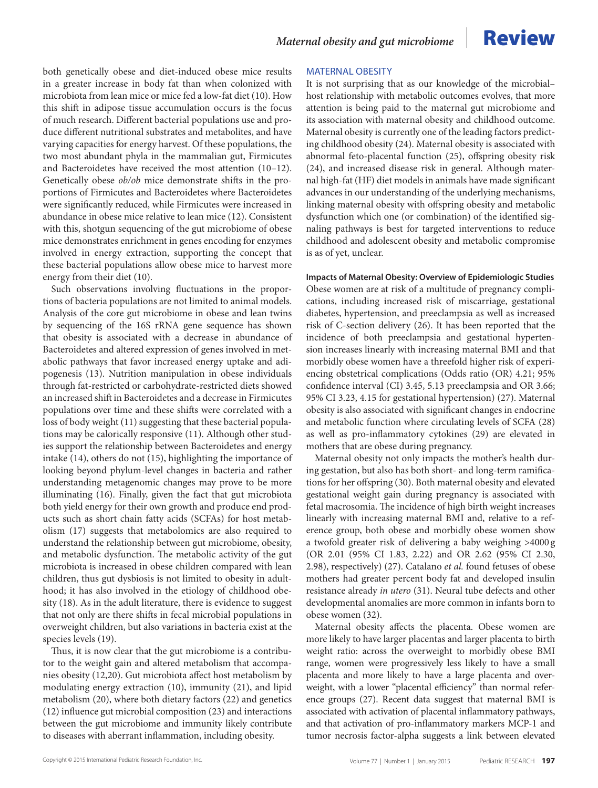both genetically obese and diet-induced obese mice results in a greater increase in body fat than when colonized with microbiota from lean mice or mice fed a low-fat diet (10). How this shift in adipose tissue accumulation occurs is the focus of much research. Different bacterial populations use and produce different nutritional substrates and metabolites, and have varying capacities for energy harvest. Of these populations, the two most abundant phyla in the mammalian gut, Firmicutes and Bacteroidetes have received the most attention (10–12). Genetically obese *ob/ob* mice demonstrate shifts in the proportions of Firmicutes and Bacteroidetes where Bacteroidetes were significantly reduced, while Firmicutes were increased in abundance in obese mice relative to lean mice (12). Consistent with this, shotgun sequencing of the gut microbiome of obese mice demonstrates enrichment in genes encoding for enzymes involved in energy extraction, supporting the concept that these bacterial populations allow obese mice to harvest more energy from their diet (10).

Such observations involving fluctuations in the proportions of bacteria populations are not limited to animal models. Analysis of the core gut microbiome in obese and lean twins by sequencing of the 16S rRNA gene sequence has shown that obesity is associated with a decrease in abundance of Bacteroidetes and altered expression of genes involved in metabolic pathways that favor increased energy uptake and adipogenesis (13). Nutrition manipulation in obese individuals through fat-restricted or carbohydrate-restricted diets showed an increased shift in Bacteroidetes and a decrease in Firmicutes populations over time and these shifts were correlated with a loss of body weight (11) suggesting that these bacterial populations may be calorically responsive (11). Although other studies support the relationship between Bacteroidetes and energy intake (14), others do not (15), highlighting the importance of looking beyond phylum-level changes in bacteria and rather understanding metagenomic changes may prove to be more illuminating (16). Finally, given the fact that gut microbiota both yield energy for their own growth and produce end products such as short chain fatty acids (SCFAs) for host metabolism (17) suggests that metabolomics are also required to understand the relationship between gut microbiome, obesity, and metabolic dysfunction. The metabolic activity of the gut microbiota is increased in obese children compared with lean children, thus gut dysbiosis is not limited to obesity in adulthood; it has also involved in the etiology of childhood obesity (18). As in the adult literature, there is evidence to suggest that not only are there shifts in fecal microbial populations in overweight children, but also variations in bacteria exist at the species levels (19).

Thus, it is now clear that the gut microbiome is a contributor to the weight gain and altered metabolism that accompanies obesity (12,20). Gut microbiota affect host metabolism by modulating energy extraction (10), immunity (21), and lipid metabolism (20), where both dietary factors (22) and genetics (12) influence gut microbial composition (23) and interactions between the gut microbiome and immunity likely contribute to diseases with aberrant inflammation, including obesity.

### MATERNAL OBESITY

It is not surprising that as our knowledge of the microbial– host relationship with metabolic outcomes evolves, that more attention is being paid to the maternal gut microbiome and its association with maternal obesity and childhood outcome. Maternal obesity is currently one of the leading factors predicting childhood obesity (24). Maternal obesity is associated with abnormal feto-placental function (25), offspring obesity risk (24), and increased disease risk in general. Although maternal high-fat (HF) diet models in animals have made significant advances in our understanding of the underlying mechanisms, linking maternal obesity with offspring obesity and metabolic dysfunction which one (or combination) of the identified signaling pathways is best for targeted interventions to reduce childhood and adolescent obesity and metabolic compromise is as of yet, unclear.

**Impacts of Maternal Obesity: Overview of Epidemiologic Studies** Obese women are at risk of a multitude of pregnancy complications, including increased risk of miscarriage, gestational diabetes, hypertension, and preeclampsia as well as increased risk of C-section delivery (26). It has been reported that the incidence of both preeclampsia and gestational hypertension increases linearly with increasing maternal BMI and that morbidly obese women have a threefold higher risk of experiencing obstetrical complications (Odds ratio (OR) 4.21; 95% confidence interval (CI) 3.45, 5.13 preeclampsia and OR 3.66; 95% CI 3.23, 4.15 for gestational hypertension) (27). Maternal obesity is also associated with significant changes in endocrine and metabolic function where circulating levels of SCFA (28) as well as pro-inflammatory cytokines (29) are elevated in mothers that are obese during pregnancy.

Maternal obesity not only impacts the mother's health during gestation, but also has both short- and long-term ramifications for her offspring (30). Both maternal obesity and elevated gestational weight gain during pregnancy is associated with fetal macrosomia. The incidence of high birth weight increases linearly with increasing maternal BMI and, relative to a reference group, both obese and morbidly obese women show a twofold greater risk of delivering a baby weighing >4000 g (OR 2.01 (95% CI 1.83, 2.22) and OR 2.62 (95% CI 2.30, 2.98), respectively) (27). Catalano *et al.* found fetuses of obese mothers had greater percent body fat and developed insulin resistance already *in utero* (31). Neural tube defects and other developmental anomalies are more common in infants born to obese women (32).

Maternal obesity affects the placenta. Obese women are more likely to have larger placentas and larger placenta to birth weight ratio: across the overweight to morbidly obese BMI range, women were progressively less likely to have a small placenta and more likely to have a large placenta and overweight, with a lower "placental efficiency" than normal reference groups (27). Recent data suggest that maternal BMI is associated with activation of placental inflammatory pathways, and that activation of pro-inflammatory markers MCP-1 and tumor necrosis factor-alpha suggests a link between elevated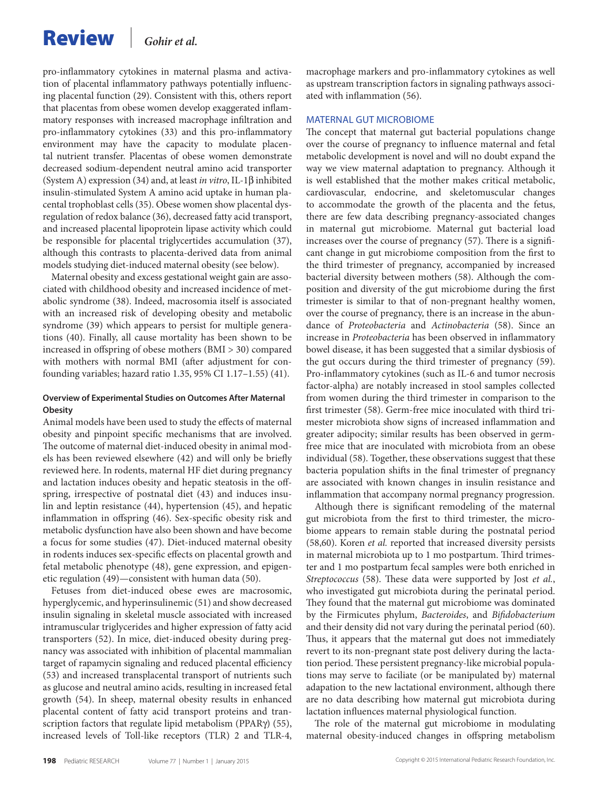## Review *Gohir et al.*

pro-inflammatory cytokines in maternal plasma and activation of placental inflammatory pathways potentially influencing placental function (29). Consistent with this, others report that placentas from obese women develop exaggerated inflammatory responses with increased macrophage infiltration and pro-inflammatory cytokines (33) and this pro-inflammatory environment may have the capacity to modulate placental nutrient transfer. Placentas of obese women demonstrate decreased sodium-dependent neutral amino acid transporter (System A) expression (34) and, at least *in vitro*, IL-1β inhibited insulin-stimulated System A amino acid uptake in human placental trophoblast cells (35). Obese women show placental dysregulation of redox balance (36), decreased fatty acid transport, and increased placental lipoprotein lipase activity which could be responsible for placental triglycertides accumulation (37), although this contrasts to placenta-derived data from animal models studying diet-induced maternal obesity (see below).

Maternal obesity and excess gestational weight gain are associated with childhood obesity and increased incidence of metabolic syndrome (38). Indeed, macrosomia itself is associated with an increased risk of developing obesity and metabolic syndrome (39) which appears to persist for multiple generations (40). Finally, all cause mortality has been shown to be increased in offspring of obese mothers (BMI > 30) compared with mothers with normal BMI (after adjustment for confounding variables; hazard ratio 1.35, 95% CI 1.17–1.55) (41).

#### **Overview of Experimental Studies on Outcomes After Maternal Obesity**

Animal models have been used to study the effects of maternal obesity and pinpoint specific mechanisms that are involved. The outcome of maternal diet-induced obesity in animal models has been reviewed elsewhere (42) and will only be briefly reviewed here. In rodents, maternal HF diet during pregnancy and lactation induces obesity and hepatic steatosis in the offspring, irrespective of postnatal diet (43) and induces insulin and leptin resistance (44), hypertension (45), and hepatic inflammation in offspring (46). Sex-specific obesity risk and metabolic dysfunction have also been shown and have become a focus for some studies (47). Diet-induced maternal obesity in rodents induces sex-specific effects on placental growth and fetal metabolic phenotype (48), gene expression, and epigenetic regulation (49)—consistent with human data (50).

Fetuses from diet-induced obese ewes are macrosomic, hyperglycemic, and hyperinsulinemic (51) and show decreased insulin signaling in skeletal muscle associated with increased intramuscular triglycerides and higher expression of fatty acid transporters (52). In mice, diet-induced obesity during pregnancy was associated with inhibition of placental mammalian target of rapamycin signaling and reduced placental efficiency (53) and increased transplacental transport of nutrients such as glucose and neutral amino acids, resulting in increased fetal growth (54). In sheep, maternal obesity results in enhanced placental content of fatty acid transport proteins and transcription factors that regulate lipid metabolism (PPARγ) (55), increased levels of Toll-like receptors (TLR) 2 and TLR-4, macrophage markers and pro-inflammatory cytokines as well as upstream transcription factors in signaling pathways associated with inflammation (56).

#### MATERNAL GUT MICROBIOME

The concept that maternal gut bacterial populations change over the course of pregnancy to influence maternal and fetal metabolic development is novel and will no doubt expand the way we view maternal adaptation to pregnancy. Although it is well established that the mother makes critical metabolic, cardiovascular, endocrine, and skeletomuscular changes to accommodate the growth of the placenta and the fetus, there are few data describing pregnancy-associated changes in maternal gut microbiome. Maternal gut bacterial load increases over the course of pregnancy (57). There is a significant change in gut microbiome composition from the first to the third trimester of pregnancy, accompanied by increased bacterial diversity between mothers (58). Although the composition and diversity of the gut microbiome during the first trimester is similar to that of non-pregnant healthy women, over the course of pregnancy, there is an increase in the abundance of *Proteobacteria* and *Actinobacteria* (58). Since an increase in *Proteobacteria* has been observed in inflammatory bowel disease, it has been suggested that a similar dysbiosis of the gut occurs during the third trimester of pregnancy (59). Pro-inflammatory cytokines (such as IL-6 and tumor necrosis factor-alpha) are notably increased in stool samples collected from women during the third trimester in comparison to the first trimester (58). Germ-free mice inoculated with third trimester microbiota show signs of increased inflammation and greater adipocity; similar results has been observed in germfree mice that are inoculated with microbiota from an obese individual (58). Together, these observations suggest that these bacteria population shifts in the final trimester of pregnancy are associated with known changes in insulin resistance and inflammation that accompany normal pregnancy progression.

Although there is significant remodeling of the maternal gut microbiota from the first to third trimester, the microbiome appears to remain stable during the postnatal period (58,60). Koren *et al.* reported that increased diversity persists in maternal microbiota up to 1 mo postpartum. Third trimester and 1 mo postpartum fecal samples were both enriched in *Streptococcus* (58). These data were supported by Jost *et al.*, who investigated gut microbiota during the perinatal period. They found that the maternal gut microbiome was dominated by the Firmicutes phylum, *Bacteroides*, and *Bifidobacterium* and their density did not vary during the perinatal period (60). Thus, it appears that the maternal gut does not immediately revert to its non-pregnant state post delivery during the lactation period. These persistent pregnancy-like microbial populations may serve to faciliate (or be manipulated by) maternal adapation to the new lactational environment, although there are no data describing how maternal gut microbiota during lactation influences maternal physiological function.

The role of the maternal gut microbiome in modulating maternal obesity-induced changes in offspring metabolism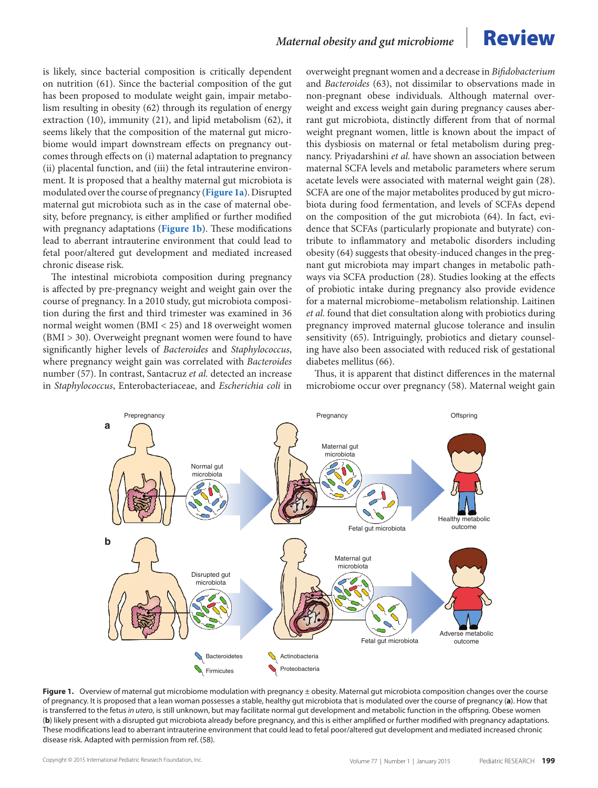is likely, since bacterial composition is critically dependent on nutrition (61). Since the bacterial composition of the gut has been proposed to modulate weight gain, impair metabolism resulting in obesity (62) through its regulation of energy extraction (10), immunity (21), and lipid metabolism (62), it seems likely that the composition of the maternal gut microbiome would impart downstream effects on pregnancy outcomes through effects on (i) maternal adaptation to pregnancy (ii) placental function, and (iii) the fetal intrauterine environment. It is proposed that a healthy maternal gut microbiota is modulated over the course of pregnancy (**[Figure 1a](#page-3-0)**). Disrupted maternal gut microbiota such as in the case of maternal obesity, before pregnancy, is either amplified or further modified with pregnancy adaptations (**[Figure 1b](#page-3-0)**). These modifications lead to aberrant intrauterine environment that could lead to fetal poor/altered gut development and mediated increased chronic disease risk.

The intestinal microbiota composition during pregnancy is affected by pre-pregnancy weight and weight gain over the course of pregnancy. In a 2010 study, gut microbiota composition during the first and third trimester was examined in 36 normal weight women (BMI < 25) and 18 overweight women (BMI > 30). Overweight pregnant women were found to have significantly higher levels of *Bacteroides* and *Staphylococcus*, where pregnancy weight gain was correlated with *Bacteroides* number (57). In contrast, Santacruz *et al.* detected an increase in *Staphylococcus*, Enterobacteriaceae, and *Escherichia coli* in overweight pregnant women and a decrease in *Bifidobacterium* and *Bacteroides* (63), not dissimilar to observations made in non-pregnant obese individuals. Although maternal overweight and excess weight gain during pregnancy causes aberrant gut microbiota, distinctly different from that of normal weight pregnant women, little is known about the impact of this dysbiosis on maternal or fetal metabolism during pregnancy. Priyadarshini *et al.* have shown an association between maternal SCFA levels and metabolic parameters where serum acetate levels were associated with maternal weight gain (28). SCFA are one of the major metabolites produced by gut microbiota during food fermentation, and levels of SCFAs depend on the composition of the gut microbiota (64). In fact, evidence that SCFAs (particularly propionate and butyrate) contribute to inflammatory and metabolic disorders including obesity (64) suggests that obesity-induced changes in the pregnant gut microbiota may impart changes in metabolic pathways via SCFA production (28). Studies looking at the effects of probiotic intake during pregnancy also provide evidence for a maternal microbiome–metabolism relationship. Laitinen *et al.* found that diet consultation along with probiotics during pregnancy improved maternal glucose tolerance and insulin sensitivity (65). Intriguingly, probiotics and dietary counseling have also been associated with reduced risk of gestational diabetes mellitus (66).

Thus, it is apparent that distinct differences in the maternal microbiome occur over pregnancy (58). Maternal weight gain

<span id="page-3-0"></span>

Figure 1. Overview of maternal gut microbiome modulation with pregnancy ± obesity. Maternal gut microbiota composition changes over the course of pregnancy. It is proposed that a lean woman possesses a stable, healthy gut microbiota that is modulated over the course of pregnancy (**a**). How that is transferred to the fetus *in utero*, is still unknown, but may facilitate normal gut development and metabolic function in the offspring. Obese women (**b**) likely present with a disrupted gut microbiota already before pregnancy, and this is either amplified or further modified with pregnancy adaptations. These modifications lead to aberrant intrauterine environment that could lead to fetal poor/altered gut development and mediated increased chronic disease risk. Adapted with permission from ref. (58).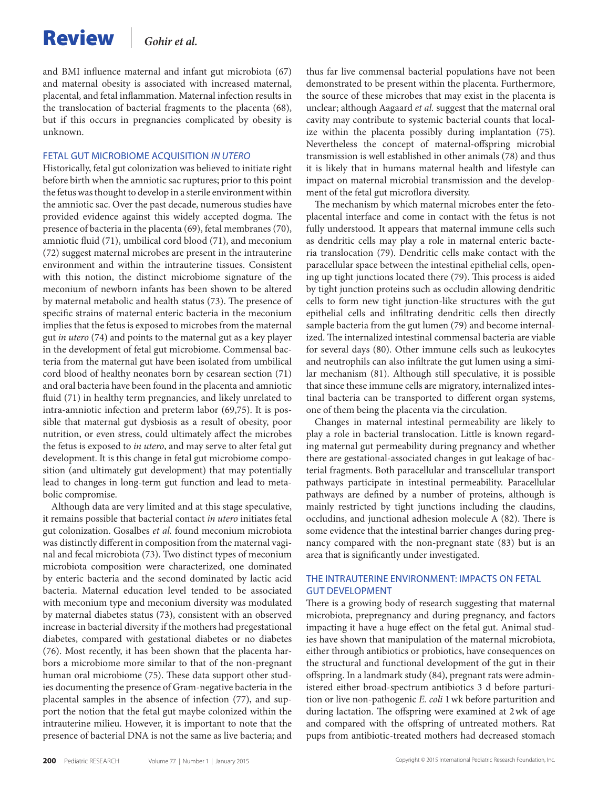and BMI influence maternal and infant gut microbiota (67) and maternal obesity is associated with increased maternal, placental, and fetal inflammation. Maternal infection results in the translocation of bacterial fragments to the placenta (68), but if this occurs in pregnancies complicated by obesity is unknown.

#### FETAL GUT MICROBIOME ACQUISITION *IN UTERO*

Historically, fetal gut colonization was believed to initiate right before birth when the amniotic sac ruptures; prior to this point the fetus was thought to develop in a sterile environment within the amniotic sac. Over the past decade, numerous studies have provided evidence against this widely accepted dogma. The presence of bacteria in the placenta (69), fetal membranes (70), amniotic fluid (71), umbilical cord blood (71), and meconium (72) suggest maternal microbes are present in the intrauterine environment and within the intrauterine tissues. Consistent with this notion, the distinct microbiome signature of the meconium of newborn infants has been shown to be altered by maternal metabolic and health status (73). The presence of specific strains of maternal enteric bacteria in the meconium implies that the fetus is exposed to microbes from the maternal gut *in utero* (74) and points to the maternal gut as a key player in the development of fetal gut microbiome. Commensal bacteria from the maternal gut have been isolated from umbilical cord blood of healthy neonates born by cesarean section (71) and oral bacteria have been found in the placenta and amniotic fluid (71) in healthy term pregnancies, and likely unrelated to intra-amniotic infection and preterm labor (69,75). It is possible that maternal gut dysbiosis as a result of obesity, poor nutrition, or even stress, could ultimately affect the microbes the fetus is exposed to *in utero*, and may serve to alter fetal gut development. It is this change in fetal gut microbiome composition (and ultimately gut development) that may potentially lead to changes in long-term gut function and lead to metabolic compromise.

Although data are very limited and at this stage speculative, it remains possible that bacterial contact *in utero* initiates fetal gut colonization. Gosalbes *et al.* found meconium microbiota was distinctly different in composition from the maternal vaginal and fecal microbiota (73). Two distinct types of meconium microbiota composition were characterized, one dominated by enteric bacteria and the second dominated by lactic acid bacteria. Maternal education level tended to be associated with meconium type and meconium diversity was modulated by maternal diabetes status (73), consistent with an observed increase in bacterial diversity if the mothers had pregestational diabetes, compared with gestational diabetes or no diabetes (76). Most recently, it has been shown that the placenta harbors a microbiome more similar to that of the non-pregnant human oral microbiome (75). These data support other studies documenting the presence of Gram-negative bacteria in the placental samples in the absence of infection (77), and support the notion that the fetal gut maybe colonized within the intrauterine milieu. However, it is important to note that the presence of bacterial DNA is not the same as live bacteria; and thus far live commensal bacterial populations have not been demonstrated to be present within the placenta. Furthermore, the source of these microbes that may exist in the placenta is unclear; although Aagaard *et al.* suggest that the maternal oral cavity may contribute to systemic bacterial counts that localize within the placenta possibly during implantation (75). Nevertheless the concept of maternal-offspring microbial transmission is well established in other animals (78) and thus it is likely that in humans maternal health and lifestyle can impact on maternal microbial transmission and the development of the fetal gut microflora diversity.

The mechanism by which maternal microbes enter the fetoplacental interface and come in contact with the fetus is not fully understood. It appears that maternal immune cells such as dendritic cells may play a role in maternal enteric bacteria translocation (79). Dendritic cells make contact with the paracellular space between the intestinal epithelial cells, opening up tight junctions located there (79). This process is aided by tight junction proteins such as occludin allowing dendritic cells to form new tight junction-like structures with the gut epithelial cells and infiltrating dendritic cells then directly sample bacteria from the gut lumen (79) and become internalized. The internalized intestinal commensal bacteria are viable for several days (80). Other immune cells such as leukocytes and neutrophils can also infiltrate the gut lumen using a similar mechanism (81). Although still speculative, it is possible that since these immune cells are migratory, internalized intestinal bacteria can be transported to different organ systems, one of them being the placenta via the circulation.

Changes in maternal intestinal permeability are likely to play a role in bacterial translocation. Little is known regarding maternal gut permeability during pregnancy and whether there are gestational-associated changes in gut leakage of bacterial fragments. Both paracellular and transcellular transport pathways participate in intestinal permeability. Paracellular pathways are defined by a number of proteins, although is mainly restricted by tight junctions including the claudins, occludins, and junctional adhesion molecule A (82). There is some evidence that the intestinal barrier changes during pregnancy compared with the non-pregnant state (83) but is an area that is significantly under investigated.

### THE INTRAUTERINE ENVIRONMENT: IMPACTS ON FETAL GUT DEVELOPMENT

There is a growing body of research suggesting that maternal microbiota, prepregnancy and during pregnancy, and factors impacting it have a huge effect on the fetal gut. Animal studies have shown that manipulation of the maternal microbiota, either through antibiotics or probiotics, have consequences on the structural and functional development of the gut in their offspring. In a landmark study (84), pregnant rats were administered either broad-spectrum antibiotics 3 d before parturition or live non-pathogenic *E. coli* 1wk before parturition and during lactation. The offspring were examined at 2wk of age and compared with the offspring of untreated mothers. Rat pups from antibiotic-treated mothers had decreased stomach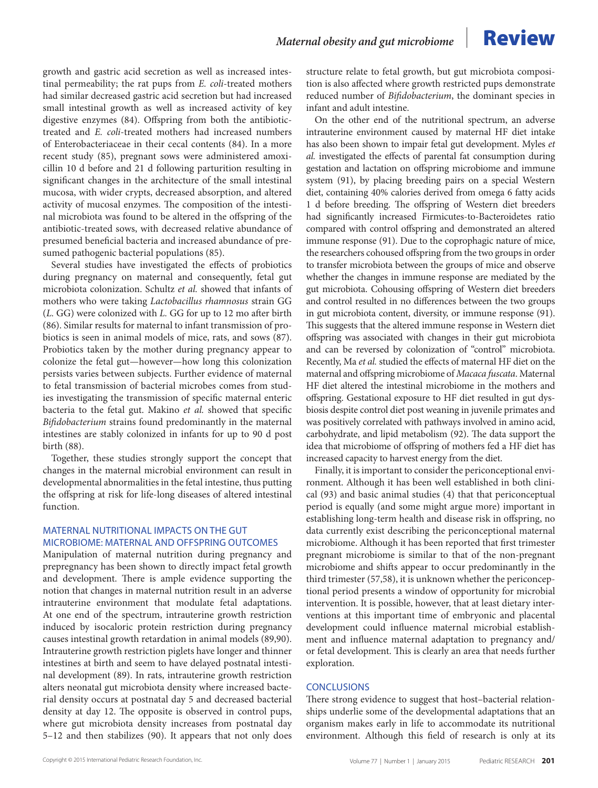growth and gastric acid secretion as well as increased intestinal permeability; the rat pups from *E. coli*-treated mothers had similar decreased gastric acid secretion but had increased small intestinal growth as well as increased activity of key digestive enzymes (84). Offspring from both the antibiotictreated and *E. coli*-treated mothers had increased numbers of Enterobacteriaceae in their cecal contents (84). In a more recent study (85), pregnant sows were administered amoxicillin 10 d before and 21 d following parturition resulting in significant changes in the architecture of the small intestinal mucosa, with wider crypts, decreased absorption, and altered activity of mucosal enzymes. The composition of the intestinal microbiota was found to be altered in the offspring of the antibiotic-treated sows, with decreased relative abundance of presumed beneficial bacteria and increased abundance of presumed pathogenic bacterial populations (85).

Several studies have investigated the effects of probiotics during pregnancy on maternal and consequently, fetal gut microbiota colonization. Schultz *et al.* showed that infants of mothers who were taking *Lactobacillus rhamnosus* strain GG (*L.* GG) were colonized with *L.* GG for up to 12 mo after birth (86). Similar results for maternal to infant transmission of probiotics is seen in animal models of mice, rats, and sows (87). Probiotics taken by the mother during pregnancy appear to colonize the fetal gut—however—how long this colonization persists varies between subjects. Further evidence of maternal to fetal transmission of bacterial microbes comes from studies investigating the transmission of specific maternal enteric bacteria to the fetal gut. Makino *et al.* showed that specific *Bifidobacterium* strains found predominantly in the maternal intestines are stably colonized in infants for up to 90 d post birth (88).

Together, these studies strongly support the concept that changes in the maternal microbial environment can result in developmental abnormalities in the fetal intestine, thus putting the offspring at risk for life-long diseases of altered intestinal function.

### MATERNAL NUTRITIONAL IMPACTS ON THE GUT MICROBIOME: MATERNAL AND OFFSPRING OUTCOMES

Manipulation of maternal nutrition during pregnancy and prepregnancy has been shown to directly impact fetal growth and development. There is ample evidence supporting the notion that changes in maternal nutrition result in an adverse intrauterine environment that modulate fetal adaptations. At one end of the spectrum, intrauterine growth restriction induced by isocaloric protein restriction during pregnancy causes intestinal growth retardation in animal models (89,90). Intrauterine growth restriction piglets have longer and thinner intestines at birth and seem to have delayed postnatal intestinal development (89). In rats, intrauterine growth restriction alters neonatal gut microbiota density where increased bacterial density occurs at postnatal day 5 and decreased bacterial density at day 12. The opposite is observed in control pups, where gut microbiota density increases from postnatal day 5–12 and then stabilizes (90). It appears that not only does

structure relate to fetal growth, but gut microbiota composition is also affected where growth restricted pups demonstrate reduced number of *Bifidobacterium*, the dominant species in infant and adult intestine.

On the other end of the nutritional spectrum, an adverse intrauterine environment caused by maternal HF diet intake has also been shown to impair fetal gut development. Myles *et al.* investigated the effects of parental fat consumption during gestation and lactation on offspring microbiome and immune system (91), by placing breeding pairs on a special Western diet, containing 40% calories derived from omega 6 fatty acids 1 d before breeding. The offspring of Western diet breeders had significantly increased Firmicutes-to-Bacteroidetes ratio compared with control offspring and demonstrated an altered immune response (91). Due to the coprophagic nature of mice, the researchers cohoused offspring from the two groups in order to transfer microbiota between the groups of mice and observe whether the changes in immune response are mediated by the gut microbiota. Cohousing offspring of Western diet breeders and control resulted in no differences between the two groups in gut microbiota content, diversity, or immune response (91). This suggests that the altered immune response in Western diet offspring was associated with changes in their gut microbiota and can be reversed by colonization of "control" microbiota. Recently, Ma *et al.* studied the effects of maternal HF diet on the maternal and offspring microbiome of *Macaca fuscata*. Maternal HF diet altered the intestinal microbiome in the mothers and offspring. Gestational exposure to HF diet resulted in gut dysbiosis despite control diet post weaning in juvenile primates and was positively correlated with pathways involved in amino acid, carbohydrate, and lipid metabolism (92). The data support the idea that microbiome of offspring of mothers fed a HF diet has increased capacity to harvest energy from the diet.

Finally, it is important to consider the periconceptional environment. Although it has been well established in both clinical (93) and basic animal studies (4) that that periconceptual period is equally (and some might argue more) important in establishing long-term health and disease risk in offspring, no data currently exist describing the periconceptional maternal microbiome. Although it has been reported that first trimester pregnant microbiome is similar to that of the non-pregnant microbiome and shifts appear to occur predominantly in the third trimester (57,58), it is unknown whether the periconceptional period presents a window of opportunity for microbial intervention. It is possible, however, that at least dietary interventions at this important time of embryonic and placental development could influence maternal microbial establishment and influence maternal adaptation to pregnancy and/ or fetal development. This is clearly an area that needs further exploration.

#### **CONCLUSIONS**

There strong evidence to suggest that host–bacterial relationships underlie some of the developmental adaptations that an organism makes early in life to accommodate its nutritional environment. Although this field of research is only at its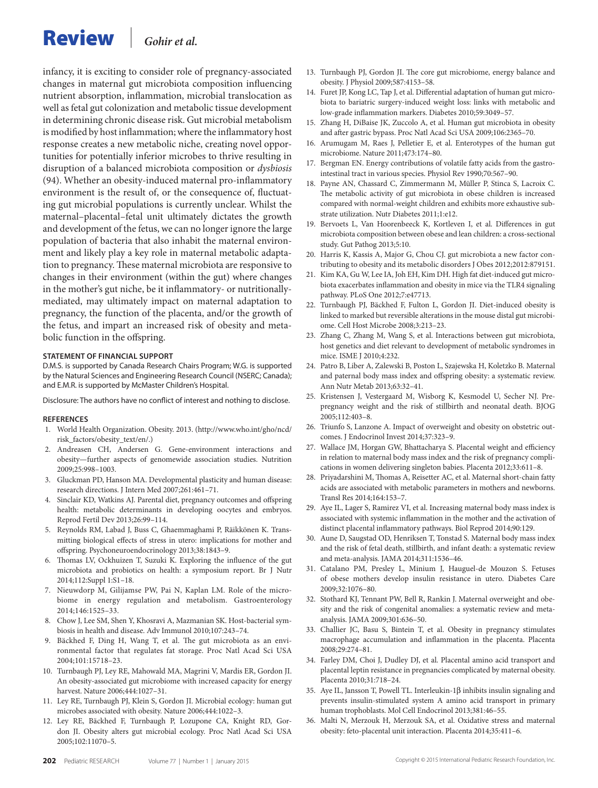# Review *Gohir et al.*

infancy, it is exciting to consider role of pregnancy-associated changes in maternal gut microbiota composition influencing nutrient absorption, inflammation, microbial translocation as well as fetal gut colonization and metabolic tissue development in determining chronic disease risk. Gut microbial metabolism is modified by host inflammation; where the inflammatory host response creates a new metabolic niche, creating novel opportunities for potentially inferior microbes to thrive resulting in disruption of a balanced microbiota composition or *dysbiosis* (94). Whether an obesity-induced maternal pro-inflammatory environment is the result of, or the consequence of, fluctuating gut microbial populations is currently unclear. Whilst the maternal–placental–fetal unit ultimately dictates the growth and development of the fetus, we can no longer ignore the large population of bacteria that also inhabit the maternal environment and likely play a key role in maternal metabolic adaptation to pregnancy. These maternal microbiota are responsive to changes in their environment (within the gut) where changes in the mother's gut niche, be it inflammatory- or nutritionallymediated, may ultimately impact on maternal adaptation to pregnancy, the function of the placenta, and/or the growth of the fetus, and impart an increased risk of obesity and metabolic function in the offspring.

#### **STATEMENT OF FINANCIAL SUPPORT**

D.M.S. is supported by Canada Research Chairs Program; W.G. is supported by the Natural Sciences and Engineering Research Council (NSERC; Canada); and E.M.R. is supported by McMaster Children's Hospital.

Disclosure: The authors have no conflict of interest and nothing to disclose.

#### **References**

- 1. World Health Organization. Obesity. 2013. ([http://www.who.int/gho/ncd/](http://www.who.int/gho/ncd/risk_factors/obesity_text/en/) [risk\\_factors/obesity\\_text/en/](http://www.who.int/gho/ncd/risk_factors/obesity_text/en/).)
- 2. Andreasen CH, Andersen G. Gene-environment interactions and obesity—further aspects of genomewide association studies. Nutrition 2009;25:998–1003.
- 3. Gluckman PD, Hanson MA. Developmental plasticity and human disease: research directions. J Intern Med 2007;261:461–71.
- 4. Sinclair KD, Watkins AJ. Parental diet, pregnancy outcomes and offspring health: metabolic determinants in developing oocytes and embryos. Reprod Fertil Dev 2013;26:99–114.
- 5. Reynolds RM, Labad J, Buss C, Ghaemmaghami P, Räikkönen K. Transmitting biological effects of stress in utero: implications for mother and offspring. Psychoneuroendocrinology 2013;38:1843–9.
- 6. Thomas LV, Ockhuizen T, Suzuki K. Exploring the influence of the gut microbiota and probiotics on health: a symposium report. Br J Nutr 2014;112:Suppl 1:S1–18.
- 7. Nieuwdorp M, Gilijamse PW, Pai N, Kaplan LM. Role of the microbiome in energy regulation and metabolism. Gastroenterology 2014;146:1525–33.
- 8. Chow J, Lee SM, Shen Y, Khosravi A, Mazmanian SK. Host-bacterial symbiosis in health and disease. Adv Immunol 2010;107:243–74.
- Bäckhed F, Ding H, Wang T, et al. The gut microbiota as an environmental factor that regulates fat storage. Proc Natl Acad Sci USA 2004;101:15718–23.
- 10. Turnbaugh PJ, Ley RE, Mahowald MA, Magrini V, Mardis ER, Gordon JI. An obesity-associated gut microbiome with increased capacity for energy harvest. Nature 2006;444:1027–31.
- 11. Ley RE, Turnbaugh PJ, Klein S, Gordon JI. Microbial ecology: human gut microbes associated with obesity. Nature 2006;444:1022–3.
- 12. Ley RE, Bäckhed F, Turnbaugh P, Lozupone CA, Knight RD, Gordon JI. Obesity alters gut microbial ecology. Proc Natl Acad Sci USA 2005;102:11070–5.
- 13. Turnbaugh PJ, Gordon JI. The core gut microbiome, energy balance and obesity. J Physiol 2009;587:4153–58.
- 14. Furet JP, Kong LC, Tap J, et al. Differential adaptation of human gut microbiota to bariatric surgery-induced weight loss: links with metabolic and low-grade inflammation markers. Diabetes 2010;59:3049–57.
- 15. Zhang H, DiBaise JK, Zuccolo A, et al. Human gut microbiota in obesity and after gastric bypass. Proc Natl Acad Sci USA 2009;106:2365–70.
- 16. Arumugam M, Raes J, Pelletier E, et al. Enterotypes of the human gut microbiome. Nature 2011;473:174–80.
- 17. Bergman EN. Energy contributions of volatile fatty acids from the gastrointestinal tract in various species. Physiol Rev 1990;70:567–90.
- 18. Payne AN, Chassard C, Zimmermann M, Müller P, Stinca S, Lacroix C. The metabolic activity of gut microbiota in obese children is increased compared with normal-weight children and exhibits more exhaustive substrate utilization. Nutr Diabetes 2011;1:e12.
- 19. Bervoets L, Van Hoorenbeeck K, Kortleven I, et al. Differences in gut microbiota composition between obese and lean children: a cross-sectional study. Gut Pathog 2013;5:10.
- 20. Harris K, Kassis A, Major G, Chou CJ. gut microbiota a new factor contributing to obesity and its metabolic disorders J Obes 2012;2012:879151.
- 21. Kim KA, Gu W, Lee IA, Joh EH, Kim DH. High fat diet-induced gut microbiota exacerbates inflammation and obesity in mice via the TLR4 signaling pathway. PLoS One 2012;7:e47713.
- 22. Turnbaugh PJ, Bäckhed F, Fulton L, Gordon JI. Diet-induced obesity is linked to marked but reversible alterations in the mouse distal gut microbiome. Cell Host Microbe 2008;3:213–23.
- 23. Zhang C, Zhang M, Wang S, et al. Interactions between gut microbiota, host genetics and diet relevant to development of metabolic syndromes in mice. ISME J 2010;4:232.
- 24. Patro B, Liber A, Zalewski B, Poston L, Szajewska H, Koletzko B. Maternal and paternal body mass index and offspring obesity: a systematic review. Ann Nutr Metab 2013;63:32–41.
- 25. Kristensen J, Vestergaard M, Wisborg K, Kesmodel U, Secher NJ. Prepregnancy weight and the risk of stillbirth and neonatal death. BJOG 2005;112:403–8.
- 26. Triunfo S, Lanzone A. Impact of overweight and obesity on obstetric outcomes. J Endocrinol Invest 2014;37:323–9.
- 27. Wallace JM, Horgan GW, Bhattacharya S. Placental weight and efficiency in relation to maternal body mass index and the risk of pregnancy complications in women delivering singleton babies. Placenta 2012;33:611–8.
- 28. Priyadarshini M, Thomas A, Reisetter AC, et al. Maternal short-chain fatty acids are associated with metabolic parameters in mothers and newborns. Transl Res 2014;164:153–7.
- 29. Aye IL, Lager S, Ramirez VI, et al. Increasing maternal body mass index is associated with systemic inflammation in the mother and the activation of distinct placental inflammatory pathways. Biol Reprod 2014;90:129.
- 30. Aune D, Saugstad OD, Henriksen T, Tonstad S. Maternal body mass index and the risk of fetal death, stillbirth, and infant death: a systematic review and meta-analysis. JAMA 2014;311:1536–46.
- 31. Catalano PM, Presley L, Minium J, Hauguel-de Mouzon S. Fetuses of obese mothers develop insulin resistance in utero. Diabetes Care 2009;32:1076–80.
- 32. Stothard KJ, Tennant PW, Bell R, Rankin J. Maternal overweight and obesity and the risk of congenital anomalies: a systematic review and metaanalysis. JAMA 2009;301:636–50.
- 33. Challier JC, Basu S, Bintein T, et al. Obesity in pregnancy stimulates macrophage accumulation and inflammation in the placenta. Placenta 2008;29:274–81.
- 34. Farley DM, Choi J, Dudley DJ, et al. Placental amino acid transport and placental leptin resistance in pregnancies complicated by maternal obesity. Placenta 2010;31:718–24.
- 35. Aye IL, Jansson T, Powell TL. Interleukin-1β inhibits insulin signaling and prevents insulin-stimulated system A amino acid transport in primary human trophoblasts. Mol Cell Endocrinol 2013;381:46–55.
- 36. Malti N, Merzouk H, Merzouk SA, et al. Oxidative stress and maternal obesity: feto-placental unit interaction. Placenta 2014;35:411–6.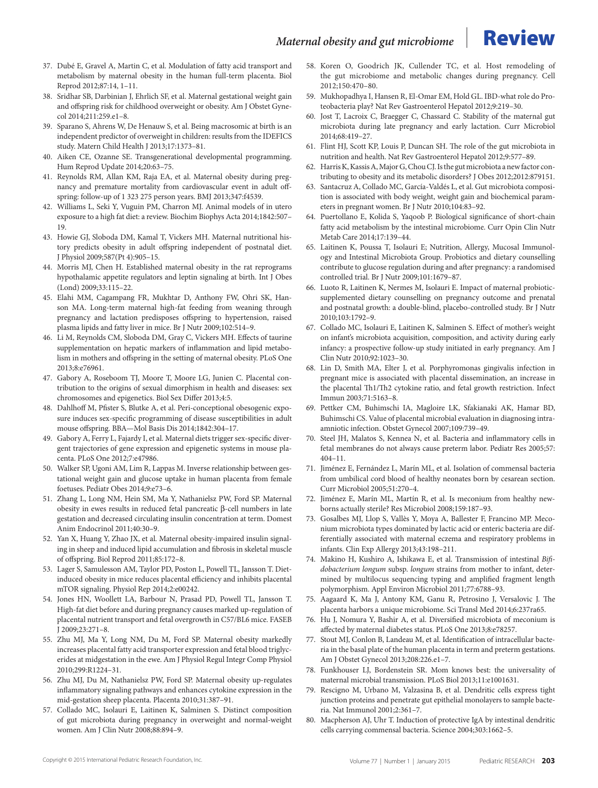- 37. Dubé E, Gravel A, Martin C, et al. Modulation of fatty acid transport and metabolism by maternal obesity in the human full-term placenta. Biol Reprod 2012;87:14, 1–11.
- 38. Sridhar SB, Darbinian J, Ehrlich SF, et al. Maternal gestational weight gain and offspring risk for childhood overweight or obesity. Am J Obstet Gynecol 2014;211:259.e1–8.
- 39. Sparano S, Ahrens W, De Henauw S, et al. Being macrosomic at birth is an independent predictor of overweight in children: results from the IDEFICS study. Matern Child Health J 2013;17:1373–81.
- 40. Aiken CE, Ozanne SE. Transgenerational developmental programming. Hum Reprod Update 2014;20:63–75.
- 41. Reynolds RM, Allan KM, Raja EA, et al. Maternal obesity during pregnancy and premature mortality from cardiovascular event in adult offspring: follow-up of 1 323 275 person years. BMJ 2013;347:f4539.
- 42. Williams L, Seki Y, Vuguin PM, Charron MJ. Animal models of in utero exposure to a high fat diet: a review. Biochim Biophys Acta 2014;1842:507– 19.
- 43. Howie GJ, Sloboda DM, Kamal T, Vickers MH. Maternal nutritional history predicts obesity in adult offspring independent of postnatal diet. J Physiol 2009;587(Pt 4):905–15.
- Morris MJ, Chen H. Established maternal obesity in the rat reprograms hypothalamic appetite regulators and leptin signaling at birth. Int J Obes (Lond) 2009;33:115–22.
- 45. Elahi MM, Cagampang FR, Mukhtar D, Anthony FW, Ohri SK, Hanson MA. Long-term maternal high-fat feeding from weaning through pregnancy and lactation predisposes offspring to hypertension, raised plasma lipids and fatty liver in mice. Br J Nutr 2009;102:514–9.
- 46. Li M, Reynolds CM, Sloboda DM, Gray C, Vickers MH. Effects of taurine supplementation on hepatic markers of inflammation and lipid metabolism in mothers and offspring in the setting of maternal obesity. PLoS One 2013;8:e76961.
- 47. Gabory A, Roseboom TJ, Moore T, Moore LG, Junien C. Placental contribution to the origins of sexual dimorphism in health and diseases: sex chromosomes and epigenetics. Biol Sex Differ 2013;4:5.
- 48. Dahlhoff M, Pfister S, Blutke A, et al. Peri-conceptional obesogenic exposure induces sex-specific programming of disease susceptibilities in adult mouse offspring. BBA—Mol Basis Dis 2014;1842:304–17.
- 49. Gabory A, Ferry L, Fajardy I, et al. Maternal diets trigger sex-specific divergent trajectories of gene expression and epigenetic systems in mouse placenta. PLoS One 2012;7:e47986.
- 50. Walker SP, Ugoni AM, Lim R, Lappas M. Inverse relationship between gestational weight gain and glucose uptake in human placenta from female foetuses. Pediatr Obes 2014;9:e73–6.
- 51. Zhang L, Long NM, Hein SM, Ma Y, Nathanielsz PW, Ford SP. Maternal obesity in ewes results in reduced fetal pancreatic β-cell numbers in late gestation and decreased circulating insulin concentration at term. Domest Anim Endocrinol 2011;40:30–9.
- 52. Yan X, Huang Y, Zhao JX, et al. Maternal obesity-impaired insulin signaling in sheep and induced lipid accumulation and fibrosis in skeletal muscle of offspring. Biol Reprod 2011;85:172–8.
- 53. Lager S, Samulesson AM, Taylor PD, Poston L, Powell TL, Jansson T. Dietinduced obesity in mice reduces placental efficiency and inhibits placental mTOR signaling. Physiol Rep 2014;2:e00242.
- 54. Jones HN, Woollett LA, Barbour N, Prasad PD, Powell TL, Jansson T. High-fat diet before and during pregnancy causes marked up-regulation of placental nutrient transport and fetal overgrowth in C57/BL6 mice. FASEB J 2009;23:271–8.
- 55. Zhu MJ, Ma Y, Long NM, Du M, Ford SP. Maternal obesity markedly increases placental fatty acid transporter expression and fetal blood triglycerides at midgestation in the ewe. Am J Physiol Regul Integr Comp Physiol 2010;299:R1224–31.
- 56. Zhu MJ, Du M, Nathanielsz PW, Ford SP. Maternal obesity up-regulates inflammatory signaling pathways and enhances cytokine expression in the mid-gestation sheep placenta. Placenta 2010;31:387–91.
- 57. Collado MC, Isolauri E, Laitinen K, Salminen S. Distinct composition of gut microbiota during pregnancy in overweight and normal-weight women. Am J Clin Nutr 2008;88:894–9.
- 58. Koren O, Goodrich JK, Cullender TC, et al. Host remodeling of the gut microbiome and metabolic changes during pregnancy. Cell 2012;150:470–80.
- 59. Mukhopadhya I, Hansen R, El-Omar EM, Hold GL. IBD-what role do Proteobacteria play? Nat Rev Gastroenterol Hepatol 2012;9:219–30.
- 60. Jost T, Lacroix C, Braegger C, Chassard C. Stability of the maternal gut microbiota during late pregnancy and early lactation. Curr Microbiol 2014;68:419–27.
- 61. Flint HJ, Scott KP, Louis P, Duncan SH. The role of the gut microbiota in nutrition and health. Nat Rev Gastroenterol Hepatol 2012;9:577–89.
- 62. Harris K, Kassis A, Major G, Chou CJ. Is the gut microbiota a new factor contributing to obesity and its metabolic disorders? J Obes 2012;2012:879151.
- 63. Santacruz A, Collado MC, García-Valdés L, et al. Gut microbiota composition is associated with body weight, weight gain and biochemical parameters in pregnant women. Br J Nutr 2010;104:83–92.
- 64. Puertollano E, Kolida S, Yaqoob P. Biological significance of short-chain fatty acid metabolism by the intestinal microbiome. Curr Opin Clin Nutr Metab Care 2014;17:139–44.
- 65. Laitinen K, Poussa T, Isolauri E; Nutrition, Allergy, Mucosal Immunology and Intestinal Microbiota Group. Probiotics and dietary counselling contribute to glucose regulation during and after pregnancy: a randomised controlled trial. Br J Nutr 2009;101:1679–87.
- 66. Luoto R, Laitinen K, Nermes M, Isolauri E. Impact of maternal probioticsupplemented dietary counselling on pregnancy outcome and prenatal and postnatal growth: a double-blind, placebo-controlled study. Br J Nutr 2010;103:1792–9.
- 67. Collado MC, Isolauri E, Laitinen K, Salminen S. Effect of mother's weight on infant's microbiota acquisition, composition, and activity during early infancy: a prospective follow-up study initiated in early pregnancy. Am J Clin Nutr 2010;92:1023–30.
- 68. Lin D, Smith MA, Elter J, et al. Porphyromonas gingivalis infection in pregnant mice is associated with placental dissemination, an increase in the placental Th1/Th2 cytokine ratio, and fetal growth restriction. Infect Immun 2003;71:5163–8.
- 69. Pettker CM, Buhimschi IA, Magloire LK, Sfakianaki AK, Hamar BD, Buhimschi CS. Value of placental microbial evaluation in diagnosing intraamniotic infection. Obstet Gynecol 2007;109:739–49.
- 70. Steel JH, Malatos S, Kennea N, et al. Bacteria and inflammatory cells in fetal membranes do not always cause preterm labor. Pediatr Res 2005;57: 404–11.
- 71. Jiménez E, Fernández L, Marín ML, et al. Isolation of commensal bacteria from umbilical cord blood of healthy neonates born by cesarean section. Curr Microbiol 2005;51:270–4.
- 72. Jiménez E, Marín ML, Martín R, et al. Is meconium from healthy newborns actually sterile? Res Microbiol 2008;159:187–93.
- 73. Gosalbes MJ, Llop S, Vallès Y, Moya A, Ballester F, Francino MP. Meconium microbiota types dominated by lactic acid or enteric bacteria are differentially associated with maternal eczema and respiratory problems in infants. Clin Exp Allergy 2013;43:198–211.
- 74. Makino H, Kushiro A, Ishikawa E, et al. Transmission of intestinal *Bifidobacterium longum* subsp. *longum* strains from mother to infant, determined by multilocus sequencing typing and amplified fragment length polymorphism. Appl Environ Microbiol 2011;77:6788–93.
- 75. Aagaard K, Ma J, Antony KM, Ganu R, Petrosino J, Versalovic J. The placenta harbors a unique microbiome. Sci Transl Med 2014;6:237ra65.
- 76. Hu J, Nomura Y, Bashir A, et al. Diversified microbiota of meconium is affected by maternal diabetes status. PLoS One 2013;8:e78257.
- 77. Stout MJ, Conlon B, Landeau M, et al. Identification of intracellular bacteria in the basal plate of the human placenta in term and preterm gestations. Am J Obstet Gynecol 2013;208:226.e1–7.
- 78. Funkhouser LJ, Bordenstein SR. Mom knows best: the universality of maternal microbial transmission. PLoS Biol 2013;11:e1001631.
- 79. Rescigno M, Urbano M, Valzasina B, et al. Dendritic cells express tight junction proteins and penetrate gut epithelial monolayers to sample bacteria. Nat Immunol 2001;2:361–7.
- 80. Macpherson AJ, Uhr T. Induction of protective IgA by intestinal dendritic cells carrying commensal bacteria. Science 2004;303:1662–5.